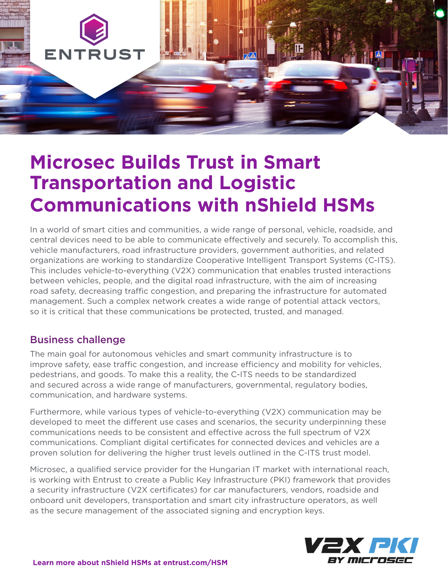

# **Microsec Builds Trust in Smart Transportation and Logistic Communications with nShield HSMs**

In a world of smart cities and communities, a wide range of personal, vehicle, roadside, and central devices need to be able to communicate effectively and securely. To accomplish this, vehicle manufacturers, road infrastructure providers, government authorities, and related organizations are working to standardize Cooperative Intelligent Transport Systems (C-ITS). This includes vehicle-to-everything (V2X) communication that enables trusted interactions between vehicles, people, and the digital road infrastructure, with the aim of increasing road safety, decreasing traffic congestion, and preparing the infrastructure for automated management. Such a complex network creates a wide range of potential attack vectors, so it is critical that these communications be protected, trusted, and managed.

## Business challenge

The main goal for autonomous vehicles and smart community infrastructure is to improve safety, ease traffic congestion, and increase efficiency and mobility for vehicles, pedestrians, and goods. To make this a reality, the C-ITS needs to be standardized and secured across a wide range of manufacturers, governmental, regulatory bodies, communication, and hardware systems.

Furthermore, while various types of vehicle-to-everything (V2X) communication may be developed to meet the different use cases and scenarios, the security underpinning these communications needs to be consistent and effective across the full spectrum of V2X communications. Compliant digital certificates for connected devices and vehicles are a proven solution for delivering the higher trust levels outlined in the C-ITS trust model.

Microsec, a qualified service provider for the Hungarian IT market with international reach, is working with Entrust to create a Public Key Infrastructure (PKI) framework that provides a security infrastructure (V2X certificates) for car manufacturers, vendors, roadside and onboard unit developers, transportation and smart city infrastructure operators, as well as the secure management of the associated signing and encryption keys.

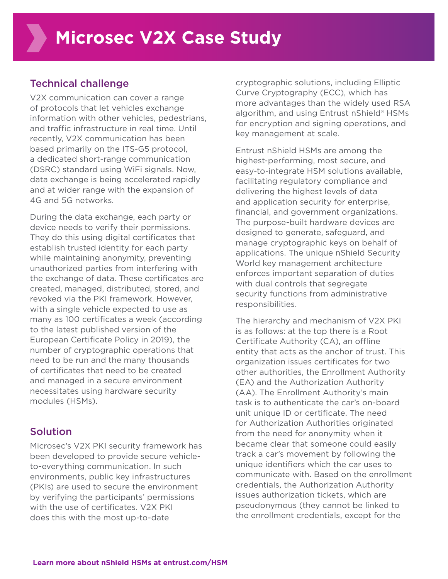## Technical challenge

V2X communication can cover a range of protocols that let vehicles exchange information with other vehicles, pedestrians, and traffic infrastructure in real time. Until recently, V2X communication has been based primarily on the ITS-G5 protocol, a dedicated short-range communication (DSRC) standard using WiFi signals. Now, data exchange is being accelerated rapidly and at wider range with the expansion of 4G and 5G networks.

During the data exchange, each party or device needs to verify their permissions. They do this using digital certificates that establish trusted identity for each party while maintaining anonymity, preventing unauthorized parties from interfering with the exchange of data. These certificates are created, managed, distributed, stored, and revoked via the PKI framework. However, with a single vehicle expected to use as many as 100 certificates a week (according to the latest published version of the European Certificate Policy in 2019), the number of cryptographic operations that need to be run and the many thousands of certificates that need to be created and managed in a secure environment necessitates using hardware security modules (HSMs).

## Solution

Microsec's V2X PKI security framework has been developed to provide secure vehicleto-everything communication. In such environments, public key infrastructures (PKIs) are used to secure the environment by verifying the participants' permissions with the use of certificates. V2X PKI does this with the most up-to-date

cryptographic solutions, including Elliptic Curve Cryptography (ECC), which has more advantages than the widely used RSA algorithm, and using Entrust nShield® HSMs for encryption and signing operations, and key management at scale.

Entrust nShield HSMs are among the highest-performing, most secure, and easy-to-integrate HSM solutions available, facilitating regulatory compliance and delivering the highest levels of data and application security for enterprise, financial, and government organizations. The purpose-built hardware devices are designed to generate, safeguard, and manage cryptographic keys on behalf of applications. The unique nShield Security World key management architecture enforces important separation of duties with dual controls that segregate security functions from administrative responsibilities.

The hierarchy and mechanism of V2X PKI is as follows: at the top there is a Root Certificate Authority (CA), an offline entity that acts as the anchor of trust. This organization issues certificates for two other authorities, the Enrollment Authority (EA) and the Authorization Authority (AA). The Enrollment Authority's main task is to authenticate the car's on-board unit unique ID or certificate. The need for Authorization Authorities originated from the need for anonymity when it became clear that someone could easily track a car's movement by following the unique identifiers which the car uses to communicate with. Based on the enrollment credentials, the Authorization Authority issues authorization tickets, which are pseudonymous (they cannot be linked to the enrollment credentials, except for the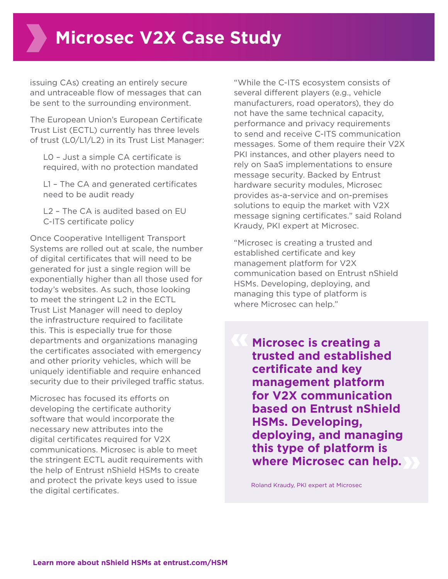issuing CAs) creating an entirely secure and untraceable flow of messages that can be sent to the surrounding environment.

The European Union's European Certificate Trust List (ECTL) currently has three levels of trust (L0/L1/L2) in its Trust List Manager:

 L0 – Just a simple CA certificate is required, with no protection mandated

 L1 – The CA and generated certificates need to be audit ready

 L2 – The CA is audited based on EU C-ITS certificate policy

Once Cooperative Intelligent Transport Systems are rolled out at scale, the number of digital certificates that will need to be generated for just a single region will be exponentially higher than all those used for today's websites. As such, those looking to meet the stringent L2 in the ECTL Trust List Manager will need to deploy the infrastructure required to facilitate this. This is especially true for those departments and organizations managing the certificates associated with emergency and other priority vehicles, which will be uniquely identifiable and require enhanced security due to their privileged traffic status.

Microsec has focused its efforts on developing the certificate authority software that would incorporate the necessary new attributes into the digital certificates required for V2X communications. Microsec is able to meet the stringent ECTL audit requirements with the help of Entrust nShield HSMs to create and protect the private keys used to issue the digital certificates.

"While the C-ITS ecosystem consists of several different players (e.g., vehicle manufacturers, road operators), they do not have the same technical capacity, performance and privacy requirements to send and receive C-ITS communication messages. Some of them require their V2X PKI instances, and other players need to rely on SaaS implementations to ensure message security. Backed by Entrust hardware security modules, Microsec provides as-a-service and on-premises solutions to equip the market with V2X message signing certificates." said Roland Kraudy, PKI expert at Microsec.

"Microsec is creating a trusted and established certificate and key management platform for V2X communication based on Entrust nShield HSMs. Developing, deploying, and managing this type of platform is where Microsec can help."

**Microsec is creating a trusted and established certificate and key management platform for V2X communication based on Entrust nShield HSMs. Developing, deploying, and managing this type of platform is where Microsec can help.** 

Roland Kraudy, PKI expert at Microsec